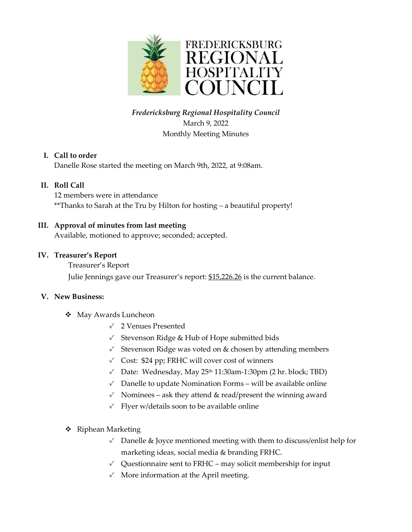

# *Fredericksburg Regional Hospitality Council* March 9, 2022 Monthly Meeting Minutes

## **I. Call to order**

Danelle Rose started the meeting on March 9th, 2022, at 9:08am.

## **II. Roll Call**

12 members were in attendance \*\*Thanks to Sarah at the Tru by Hilton for hosting – a beautiful property!

## **III. Approval of minutes from last meeting**

Available, motioned to approve; seconded; accepted.

## **IV. Treasurer's Report**

#### Treasurer's Report

Julie Jennings gave our Treasurer's report: \$15,226.26 is the current balance.

## **V. New Business:**

- ❖ May Awards Luncheon
	- √ 2 Venues Presented
	- √ Stevenson Ridge & Hub of Hope submitted bids
	- √ Stevenson Ridge was voted on & chosen by attending members
	- √ Cost: \$24 pp; FRHC will cover cost of winners
	- $\checkmark$  Date: Wednesday, May 25<sup>th</sup> 11:30am-1:30pm (2 hr. block; TBD)
	- √ Danelle to update Nomination Forms will be available online
	- $\checkmark$  Nominees ask they attend & read/present the winning award
	- √ Flyer w/details soon to be available online
- ❖ Riphean Marketing
	- √ Danelle & Joyce mentioned meeting with them to discuss/enlist help for marketing ideas, social media & branding FRHC.
	- $\sqrt{\phantom{a}}$  Questionnaire sent to FRHC may solicit membership for input
	- √ More information at the April meeting.